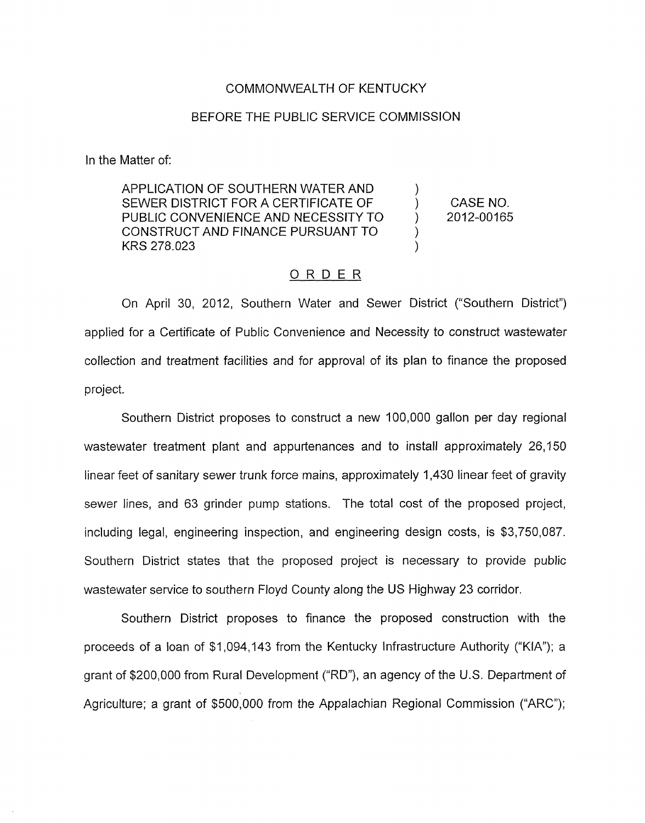## COMMONWEALTH OF KENTUCKY

## BEFORE THE PUBLIC SERVICE COMMISSION

In the Matter of:

APPLICATION OF SOUTHERN WATER AND ) SEWER DISTRICT FOR A CERTIFICATE OF ) PUBLIC CONVENIENCE AND NECESSITY TO  $2012-00165$ CONSTRUCT AND FINANCE PURSUANT TO ) KRS 278.023 )

CASE NO.

## ORDER

On April 30, 2012, Southern Water and Sewer District ("Southern District") applied for a Certificate of Public Convenience and Necessity to construct wastewater collection and treatment facilities and for approval of its plan to finance the proposed project,

Southern District proposes to construct a new 100,000 gallon per day regional wastewater treatment plant and appurtenances and to install approximately 26,150 linear feet of sanitary sewer trunk force mains, approximately 1,430 linear feet of gravity sewer lines, and 63 grinder pump stations. The total cost of the proposed project, including legal, engineering inspection, and engineering design costs, is \$3,750,087. Southern District states that the proposed project is necessary to provide public wastewater service to southern Floyd County along the US Highway 23 corridor.

Southern District proposes to finance the proposed construction with the proceeds of a loan of \$1,094,143 from the Kentucky Infrastructure Authority ("KIA"); a grant of \$200,000 from Rural Development ("RD"), an agency of the U.S. Department of Agriculture; a grant of \$500,000 from the Appalachian Regional Commission ("ARC");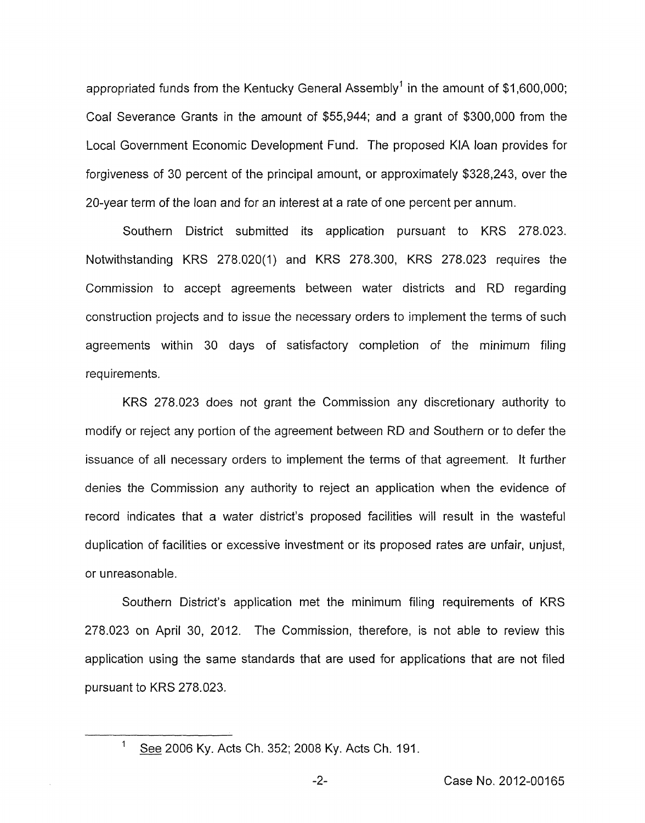appropriated funds from the Kentucky General Assembly<sup>1</sup> in the amount of \$1,600,000; Coal Severance Grants in the amount of \$55,944; and a grant of \$300,000 from the Local Government Economic Development Fund. The proposed KIA loan provides for forgiveness of 30 percent of the principal amount, or approximately \$328,243, over the 20-year term of the loan and for an interest at a rate of one percent per annum.

Southern District submitted its application pursuant to KRS 278.023. Notwithstanding KRS 278.020(1) and KRS 278.300, KRS 278.023 requires the Commission to accept agreements between water districts and RD regarding construction projects and to issue the necessary orders to implement the terms of such agreements within 30 days of satisfactory completion of the minimum filing requirements.

KRS 278.023 does not grant the Commission any discretionary authority to modify or reject any portion of the agreement between RD and Southern or to defer the issuance of all necessary orders to implement the terms of that agreement. It further denies the Commission any authority to reject an application when the evidence of record indicates that a water district's proposed facilities will result in the wasteful duplication of facilities or excessive investment or its proposed rates are unfair, unjust, or unreasonable.

Southern District's application met the minimum filing requirements of KRS 278.023 on April 30, 2012. The Commission, therefore, is not able to review this application using the same standards that are used for applications that are not filed pursuant to KRS 278.023.

 $\mathbf{1}$ See 2006 Ky. Acts Ch. 352; 2008 Ky. Acts Ch. 191.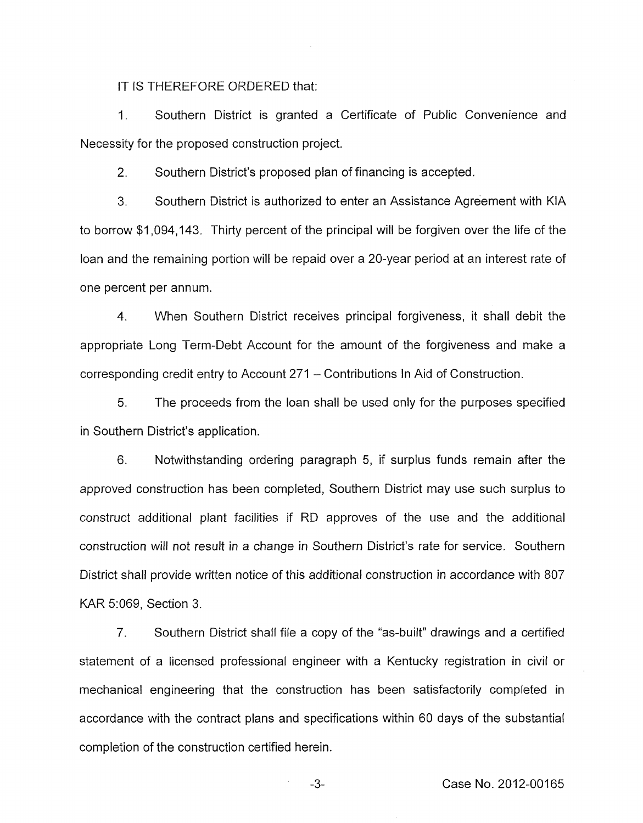IT IS THEREFORE ORDERED that:

1. Southern District is granted a Certificate of Public Convenience and Necessity for the proposed construction project.

2. Southern District's proposed plan of financing is accepted.

3. Southern District is authorized to enter an Assistance Agreement with KIA to borrow \$1,094,143. Thirty percent of the principal will be forgiven over the life of the loan and the remaining portion will be repaid over a 20-year period at an interest rate of one percent per annum.

4. When Southern District receives principal forgiveness, it shall debit the appropriate Long Term-Debt Account for the amount of the forgiveness and make a corresponding credit entry to Account 271 - Contributions In Aid of Construction.

*5.* The proceeds from the loan shall be used only for the purposes specified in Southern District's application.

6. Notwithstanding ordering paragraph 5, if surplus funds remain after the approved construction has been completed, Southern District may use such surplus to construct additional plant facilities if RD approves of the use and the additional construction will not result in a change in Southern District's rate for service. Southern District shall provide written notice *of* this additional construction in accordance with 807 KAR 5:069, Section 3.

*7.* Southern District shall file a copy of the "as-built" drawings and a certified statement of a licensed professional engineer with a Kentucky registration in civil or mechanical engineering that the construction has been satisfactorily completed in accordance with the contract plans and specifications within 60 days of the substantial completion of the construction certified herein.

**-3-** Case No. 2012-00165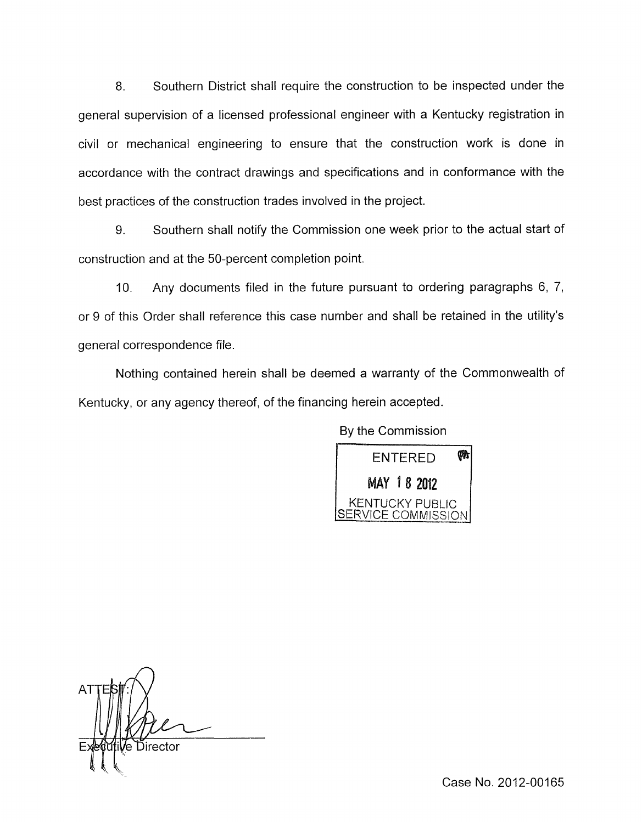8. Southern District shall require the construction to be inspected under the general supervision of a licensed professional engineer with a Kentucky registration in civil or mechanical engineering to ensure that the construction work is done in accordance with the contract drawings and specifications and in conformance with the best practices of the construction trades involved in the project.

9. Southern shall notify the Commission one week prior to the actual start of construction and at the 50-percent completion point.

10. Any documents filed in the future pursuant to ordering paragraphs 6, 7, or 9 of this Order shall reference this case number and shall be retained in the utility's general correspondence file.

Nothing contained herein shall be deemed a warranty of the Commonwealth of Kentucky, or any agency thereof, of the financing herein accepted.

By the Commission



**V**e Director

Case No. 2012-00165